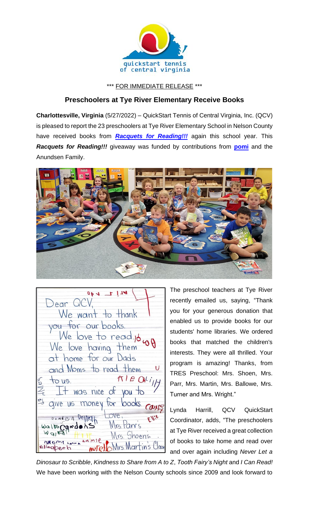

\*\*\* FOR IMMEDIATE RELEASE \*\*\*

## **Preschoolers at Tye River Elementary Receive Books**

**Charlottesville, Virginia** (5/27/2022) – QuickStart Tennis of Central Virginia, Inc. (QCV) is pleased to report the 23 preschoolers at Tye River Elementary School in Nelson County have received books from *[Racquets for Reading!!!](https://www.quickstartcentral.org/pages/index.cfm?siteid=23306)* again this school year. This *Racquets for Reading!!!* giveaway was funded by contributions from **[pomi](https://www.getpomi.com/)** and the Anundsen Family.



 $P111 + 40$ Dear QCV, We want to thank you for our books. We love to read 16 wy We love having them at home for our Dads and Moms to read them U  $M/eQkij$  $to us.$  $+$  was nice of you to give us money for books. COUNTS Ellie  $0.01900000$ Mrs Parr's WaltoCandons  $W_{QI}$ Mrs. Shoens.  $AMM10$ NOMI LACKA Mrs Martin's Classe

The preschool teachers at Tye River recently emailed us, saying, "Thank you for your generous donation that enabled us to provide books for our students' home libraries. We ordered books that matched the children's interests. They were all thrilled. Your program is amazing! Thanks, from TRES Preschool: Mrs. Shoen, Mrs. Parr, Mrs. Martin, Mrs. Ballowe, Mrs. Turner and Mrs. Wright."

Lynda Harrill, QCV QuickStart Coordinator, adds, "The preschoolers at Tye River received a great collection of books to take home and read over and over again including *Never Let a* 

*Dinosaur to Scribble*, *Kindness to Share from A to Z*, *Tooth Fairy's Night* and *I Can Read!* We have been working with the Nelson County schools since 2009 and look forward to